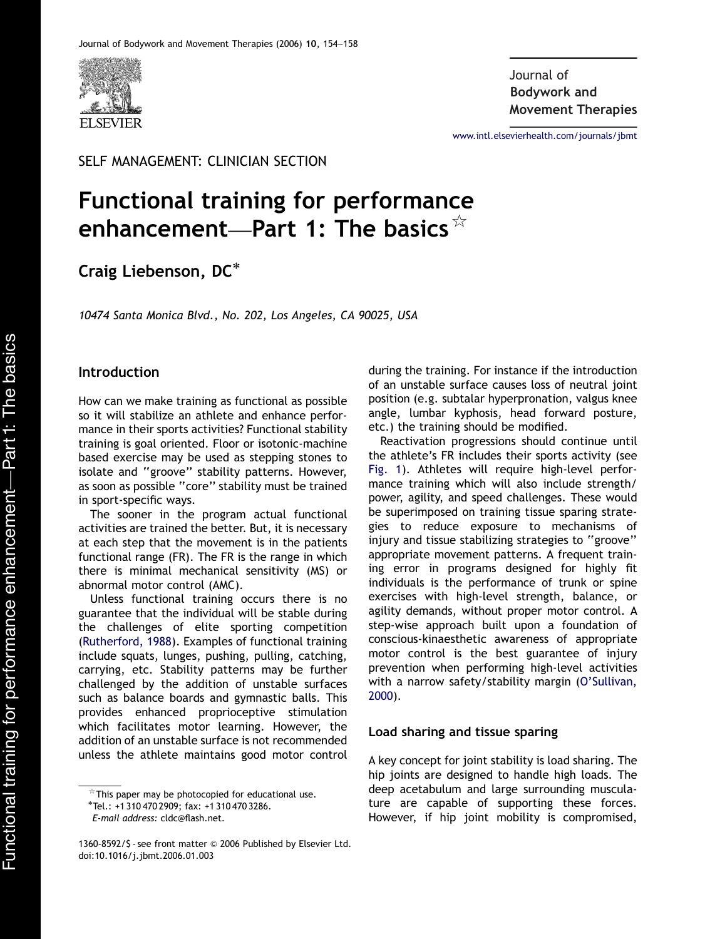

<www.intl.elsevierhealth.com/journals/jbmt>

# SELF MANAGEMENT: CLINICIAN SECTION

# Functional training for performance enhancement—Part 1: The basics  $\hat{X}$

Craig Liebenson, DC

10474 Santa Monica Blvd., No. 202, Los Angeles, CA 90025, USA

# Introduction

How can we make training as functional as possible so it will stabilize an athlete and enhance performance in their sports activities? Functional stability training is goal oriented. Floor or isotonic-machine based exercise may be used as stepping stones to isolate and ''groove'' stability patterns. However, as soon as possible ''core'' stability must be trained in sport-specific ways.

The sooner in the program actual functional activities are trained the better. But, it is necessary at each step that the movement is in the patients functional range (FR). The FR is the range in which there is minimal mechanical sensitivity (MS) or abnormal motor control (AMC).

Unless functional training occurs there is no guarantee that the individual will be stable during the challenges of elite sporting competition ([Rutherford, 1988](#page-3-0)). Examples of functional training include squats, lunges, pushing, pulling, catching, carrying, etc. Stability patterns may be further challenged by the addition of unstable surfaces such as balance boards and gymnastic balls. This provides enhanced proprioceptive stimulation which facilitates motor learning. However, the addition of an unstable surface is not recommended unless the athlete maintains good motor control during the training. For instance if the introduction of an unstable surface causes loss of neutral joint position (e.g. subtalar hyperpronation, valgus knee angle, lumbar kyphosis, head forward posture, etc.) the training should be modified.

Reactivation progressions should continue until the athlete's FR includes their sports activity (see [Fig. 1\)](#page-1-0). Athletes will require high-level performance training which will also include strength/ power, agility, and speed challenges. These would be superimposed on training tissue sparing strategies to reduce exposure to mechanisms of injury and tissue stabilizing strategies to ''groove'' appropriate movement patterns. A frequent training error in programs designed for highly fit individuals is the performance of trunk or spine exercises with high-level strength, balance, or agility demands, without proper motor control. A step-wise approach built upon a foundation of conscious-kinaesthetic awareness of appropriate motor control is the best guarantee of injury prevention when performing high-level activities with a narrow safety/stability margin [\(O'Sullivan,](#page-3-0) [2000](#page-3-0)).

#### Load sharing and tissue sparing

A key concept for joint stability is load sharing. The hip joints are designed to handle high loads. The deep acetabulum and large surrounding musculature are capable of supporting these forces. However, if hip joint mobility is compromised,

 $*$ This paper may be photocopied for educational use.<br> $*$ Tel.: +1 310 470 2909; fax: +1 310 470 3286.

E-mail address: cldc@flash.net.

<sup>1360-8592/\$ -</sup> see front matter *&* 2006 Published by Elsevier Ltd. doi:10.1016/j.jbmt.2006.01.003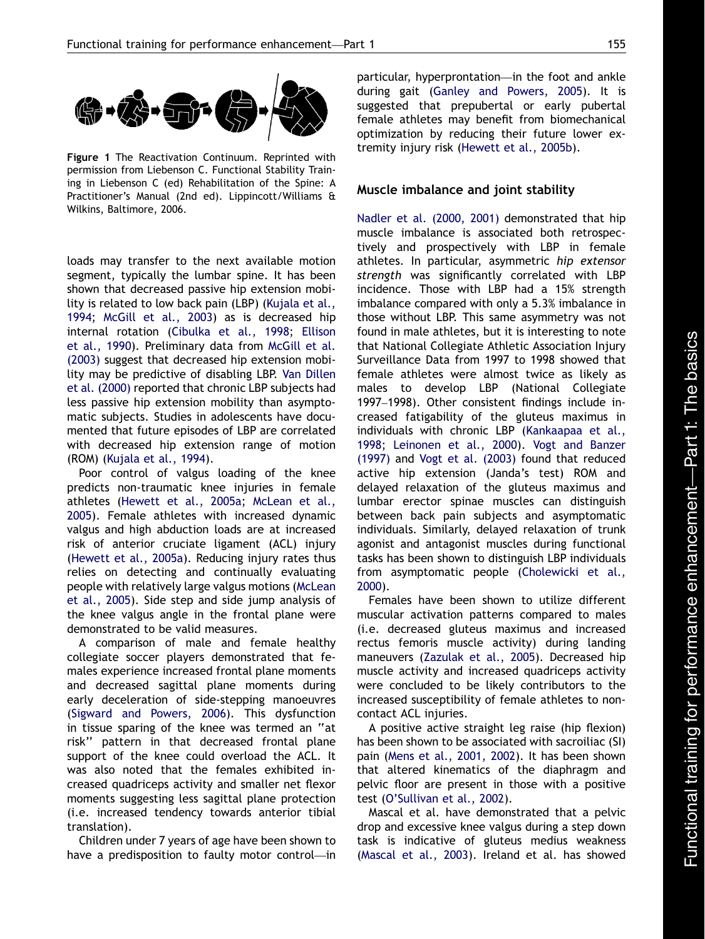<span id="page-1-0"></span>Functional training for performance enhancement—Part 1 155

Figure 1 The Reactivation Continuum. Reprinted with permission from Liebenson C. Functional Stability Training in Liebenson C (ed) Rehabilitation of the Spine: A Practitioner's Manual (2nd ed). Lippincott/Williams & Wilkins, Baltimore, 2006.

loads may transfer to the next available motion segment, typically the lumbar spine. It has been shown that decreased passive hip extension mobility is related to low back pain (LBP) [\(Kujala et al.,](#page-3-0) [1994](#page-3-0); [McGill et al., 2003\)](#page-3-0) as is decreased hip internal rotation [\(Cibulka et al., 1998;](#page-3-0) [Ellison](#page-3-0) [et al., 1990\)](#page-3-0). Preliminary data from [McGill et al.](#page-3-0) [\(2003\)](#page-3-0) suggest that decreased hip extension mobility may be predictive of disabling LBP. [Van Dillen](#page-3-0) [et al. \(2000\)](#page-3-0) reported that chronic LBP subjects had less passive hip extension mobility than asymptomatic subjects. Studies in adolescents have documented that future episodes of LBP are correlated with decreased hip extension range of motion (ROM) [\(Kujala et al., 1994\)](#page-3-0).

Poor control of valgus loading of the knee predicts non-traumatic knee injuries in female athletes ([Hewett et al., 2005a](#page-3-0); [McLean et al.,](#page-3-0) [2005](#page-3-0)). Female athletes with increased dynamic valgus and high abduction loads are at increased risk of anterior cruciate ligament (ACL) injury [\(Hewett et al., 2005a\)](#page-3-0). Reducing injury rates thus relies on detecting and continually evaluating people with relatively large valgus motions ([McLean](#page-3-0) [et al., 2005](#page-3-0)). Side step and side jump analysis of the knee valgus angle in the frontal plane were demonstrated to be valid measures.

A comparison of male and female healthy collegiate soccer players demonstrated that females experience increased frontal plane moments and decreased sagittal plane moments during early deceleration of side-stepping manoeuvres [\(Sigward and Powers, 2006](#page-3-0)). This dysfunction in tissue sparing of the knee was termed an ''at risk'' pattern in that decreased frontal plane support of the knee could overload the ACL. It was also noted that the females exhibited increased quadriceps activity and smaller net flexor moments suggesting less sagittal plane protection (i.e. increased tendency towards anterior tibial translation).

Children under 7 years of age have been shown to have a predisposition to faulty motor control—in particular, hyperprontation—in the foot and ankle during gait [\(Ganley and Powers, 2005](#page-3-0)). It is suggested that prepubertal or early pubertal female athletes may benefit from biomechanical optimization by reducing their future lower extremity injury risk [\(Hewett et al., 2005b\)](#page-3-0).

#### Muscle imbalance and joint stability

[Nadler et al. \(2000, 2001\)](#page-3-0) demonstrated that hip muscle imbalance is associated both retrospectively and prospectively with LBP in female athletes. In particular, asymmetric hip extensor strength was significantly correlated with LBP incidence. Those with LBP had a 15% strength imbalance compared with only a 5.3% imbalance in those without LBP. This same asymmetry was not found in male athletes, but it is interesting to note that National Collegiate Athletic Association Injury Surveillance Data from 1997 to 1998 showed that female athletes were almost twice as likely as males to develop LBP (National Collegiate 1997–1998). Other consistent findings include increased fatigability of the gluteus maximus in individuals with chronic LBP ([Kankaapaa et al.,](#page-3-0) [1998;](#page-3-0) [Leinonen et al., 2000](#page-3-0)). [Vogt and Banzer](#page-4-0) [\(1997\)](#page-4-0) and [Vogt et al. \(2003\)](#page-4-0) found that reduced active hip extension (Janda's test) ROM and delayed relaxation of the gluteus maximus and lumbar erector spinae muscles can distinguish between back pain subjects and asymptomatic individuals. Similarly, delayed relaxation of trunk agonist and antagonist muscles during functional tasks has been shown to distinguish LBP individuals from asymptomatic people [\(Cholewicki et al.,](#page-3-0) [2000\)](#page-3-0).

Females have been shown to utilize different muscular activation patterns compared to males (i.e. decreased gluteus maximus and increased rectus femoris muscle activity) during landing maneuvers [\(Zazulak et al., 2005](#page-4-0)). Decreased hip muscle activity and increased quadriceps activity were concluded to be likely contributors to the increased susceptibility of female athletes to noncontact ACL injuries.

A positive active straight leg raise (hip flexion) has been shown to be associated with sacroiliac (SI) pain [\(Mens et al., 2001, 2002\)](#page-3-0). It has been shown that altered kinematics of the diaphragm and pelvic floor are present in those with a positive test ([O'Sullivan et al., 2002](#page-3-0)).

Mascal et al. have demonstrated that a pelvic drop and excessive knee valgus during a step down task is indicative of gluteus medius weakness [\(Mascal et al., 2003\)](#page-3-0). Ireland et al. has showed

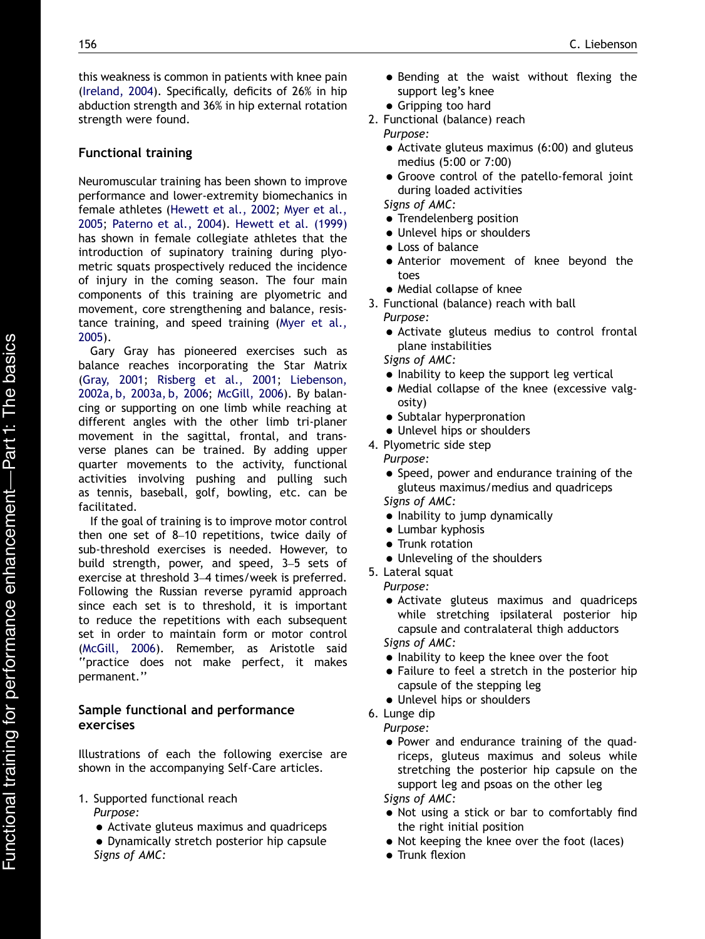this weakness is common in patients with knee pain ([Ireland, 2004\)](#page-3-0). Specifically, deficits of 26% in hip abduction strength and 36% in hip external rotation strength were found.

# Functional training

Neuromuscular training has been shown to improve performance and lower-extremity biomechanics in female athletes [\(Hewett et al., 2002](#page-3-0); [Myer et al.,](#page-3-0) [2005](#page-3-0); [Paterno et al., 2004](#page-3-0)). [Hewett et al. \(1999\)](#page-3-0) has shown in female collegiate athletes that the introduction of supinatory training during plyometric squats prospectively reduced the incidence of injury in the coming season. The four main components of this training are plyometric and movement, core strengthening and balance, resistance training, and speed training ([Myer et al.,](#page-3-0) [2005](#page-3-0)).

Gary Gray has pioneered exercises such as balance reaches incorporating the Star Matrix ([Gray, 2001;](#page-3-0) [Risberg et al., 2001](#page-3-0); [Liebenson,](#page-3-0) [2002a, b, 2003a, b, 2006](#page-3-0); [McGill, 2006\)](#page-3-0). By balancing or supporting on one limb while reaching at different angles with the other limb tri-planer movement in the sagittal, frontal, and transverse planes can be trained. By adding upper quarter movements to the activity, functional activities involving pushing and pulling such as tennis, baseball, golf, bowling, etc. can be facilitated.

If the goal of training is to improve motor control then one set of 8–10 repetitions, twice daily of sub-threshold exercises is needed. However, to build strength, power, and speed, 3–5 sets of exercise at threshold 3–4 times/week is preferred. Following the Russian reverse pyramid approach since each set is to threshold, it is important to reduce the repetitions with each subsequent set in order to maintain form or motor control ([McGill, 2006\)](#page-3-0). Remember, as Aristotle said ''practice does not make perfect, it makes permanent.''

### Sample functional and performance exercises

Illustrations of each the following exercise are shown in the accompanying Self-Care articles.

- 1. Supported functional reach Purpose:
	- Activate gluteus maximus and quadriceps
	- Dynamically stretch posterior hip capsule Signs of AMC:
- Bending at the waist without flexing the support leg's knee
- Gripping too hard
- 2. Functional (balance) reach
	- Purpose:
	- Activate gluteus maximus (6:00) and gluteus medius (5:00 or 7:00)
	- Groove control of the patello-femoral joint during loaded activities
	- Signs of AMC:
	- Trendelenberg position
	- Unlevel hips or shoulders
	- Loss of balance
	- Anterior movement of knee beyond the toes
	- Medial collapse of knee
- 3. Functional (balance) reach with ball Purpose:
	- Activate gluteus medius to control frontal plane instabilities

Signs of AMC:

- $\bullet$  Inability to keep the support leg vertical
- Medial collapse of the knee (excessive valgosity)
- Subtalar hyperpronation
- Unlevel hips or shoulders
- 4. Plyometric side step Purpose:
	- Speed, power and endurance training of the gluteus maximus/medius and quadriceps Signs of AMC:
	- Inability to jump dynamically
	- **•** Lumbar kyphosis
	- **Trunk rotation**
	- Unleveling of the shoulders
- 5. Lateral squat

Purpose:

- Activate gluteus maximus and quadriceps while stretching ipsilateral posterior hip capsule and contralateral thigh adductors Signs of AMC:
	-
- Inability to keep the knee over the foot
- Failure to feel a stretch in the posterior hip capsule of the stepping leg
- Unlevel hips or shoulders
- 6. Lunge dip
	- Purpose:
	- Power and endurance training of the quadriceps, gluteus maximus and soleus while stretching the posterior hip capsule on the support leg and psoas on the other leg Signs of AMC:
	- Not using a stick or bar to comfortably find the right initial position
	- Not keeping the knee over the foot (laces)
	- Trunk flexion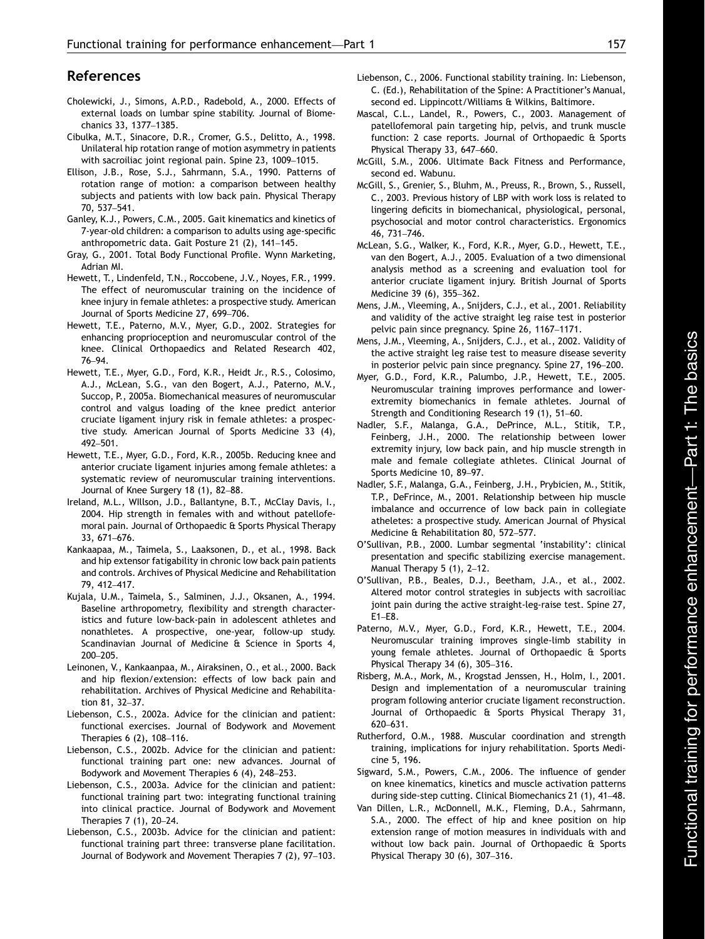#### <span id="page-3-0"></span>References

- Cholewicki, J., Simons, A.P.D., Radebold, A., 2000. Effects of external loads on lumbar spine stability. Journal of Biomechanics 33, 1377–1385.
- Cibulka, M.T., Sinacore, D.R., Cromer, G.S., Delitto, A., 1998. Unilateral hip rotation range of motion asymmetry in patients with sacroiliac joint regional pain. Spine 23, 1009–1015.
- Ellison, J.B., Rose, S.J., Sahrmann, S.A., 1990. Patterns of rotation range of motion: a comparison between healthy subjects and patients with low back pain. Physical Therapy 70, 537–541.
- Ganley, K.J., Powers, C.M., 2005. Gait kinematics and kinetics of 7-year-old children: a comparison to adults using age-specific anthropometric data. Gait Posture 21 (2), 141–145.
- Gray, G., 2001. Total Body Functional Profile. Wynn Marketing, Adrian MI.
- Hewett, T., Lindenfeld, T.N., Roccobene, J.V., Noyes, F.R., 1999. The effect of neuromuscular training on the incidence of knee injury in female athletes: a prospective study. American Journal of Sports Medicine 27, 699–706.
- Hewett, T.E., Paterno, M.V., Myer, G.D., 2002. Strategies for enhancing proprioception and neuromuscular control of the knee. Clinical Orthopaedics and Related Research 402, 76–94.
- Hewett, T.E., Myer, G.D., Ford, K.R., Heidt Jr., R.S., Colosimo, A.J., McLean, S.G., van den Bogert, A.J., Paterno, M.V., Succop, P., 2005a. Biomechanical measures of neuromuscular control and valgus loading of the knee predict anterior cruciate ligament injury risk in female athletes: a prospective study. American Journal of Sports Medicine 33 (4), 492–501.
- Hewett, T.E., Myer, G.D., Ford, K.R., 2005b. Reducing knee and anterior cruciate ligament injuries among female athletes: a systematic review of neuromuscular training interventions. Journal of Knee Surgery 18 (1), 82–88.
- Ireland, M.L., WIllson, J.D., Ballantyne, B.T., McClay Davis, I., 2004. Hip strength in females with and without patellofemoral pain. Journal of Orthopaedic & Sports Physical Therapy 33, 671–676.
- Kankaapaa, M., Taimela, S., Laaksonen, D., et al., 1998. Back and hip extensor fatigability in chronic low back pain patients and controls. Archives of Physical Medicine and Rehabilitation 79, 412–417.
- Kujala, U.M., Taimela, S., Salminen, J.J., Oksanen, A., 1994. Baseline arthropometry, flexibility and strength characteristics and future low-back-pain in adolescent athletes and nonathletes. A prospective, one-year, follow-up study. Scandinavian Journal of Medicine & Science in Sports 4, 200–205.
- Leinonen, V., Kankaanpaa, M., Airaksinen, O., et al., 2000. Back and hip flexion/extension: effects of low back pain and rehabilitation. Archives of Physical Medicine and Rehabilitation 81, 32–37.
- Liebenson, C.S., 2002a. Advice for the clinician and patient: functional exercises. Journal of Bodywork and Movement Therapies 6 (2), 108–116.
- Liebenson, C.S., 2002b. Advice for the clinician and patient: functional training part one: new advances. Journal of Bodywork and Movement Therapies 6 (4), 248–253.
- Liebenson, C.S., 2003a. Advice for the clinician and patient: functional training part two: integrating functional training into clinical practice. Journal of Bodywork and Movement Therapies 7 (1), 20–24.
- Liebenson, C.S., 2003b. Advice for the clinician and patient: functional training part three: transverse plane facilitation. Journal of Bodywork and Movement Therapies 7 (2), 97–103.
- Liebenson, C., 2006. Functional stability training. In: Liebenson, C. (Ed.), Rehabilitation of the Spine: A Practitioner's Manual, second ed. Lippincott/Williams & Wilkins, Baltimore.
- Mascal, C.L., Landel, R., Powers, C., 2003. Management of patellofemoral pain targeting hip, pelvis, and trunk muscle function: 2 case reports. Journal of Orthopaedic & Sports Physical Therapy 33, 647–660.
- McGill, S.M., 2006. Ultimate Back Fitness and Performance, second ed. Wabunu.
- McGill, S., Grenier, S., Bluhm, M., Preuss, R., Brown, S., Russell, C., 2003. Previous history of LBP with work loss is related to lingering deficits in biomechanical, physiological, personal, psychosocial and motor control characteristics. Ergonomics 46, 731–746.
- McLean, S.G., Walker, K., Ford, K.R., Myer, G.D., Hewett, T.E., van den Bogert, A.J., 2005. Evaluation of a two dimensional analysis method as a screening and evaluation tool for anterior cruciate ligament injury. British Journal of Sports Medicine 39 (6), 355–362.
- Mens, J.M., Vleeming, A., Snijders, C.J., et al., 2001. Reliability and validity of the active straight leg raise test in posterior pelvic pain since pregnancy. Spine 26, 1167–1171.
- Mens, J.M., Vleeming, A., Snijders, C.J., et al., 2002. Validity of the active straight leg raise test to measure disease severity in posterior pelvic pain since pregnancy. Spine 27, 196–200.
- Myer, G.D., Ford, K.R., Palumbo, J.P., Hewett, T.E., 2005. Neuromuscular training improves performance and lowerextremity biomechanics in female athletes. Journal of Strength and Conditioning Research 19 (1), 51–60.
- Nadler, S.F., Malanga, G.A., DePrince, M.L., Stitik, T.P., Feinberg, J.H., 2000. The relationship between lower extremity injury, low back pain, and hip muscle strength in male and female collegiate athletes. Clinical Journal of Sports Medicine 10, 89–97.
- Nadler, S.F., Malanga, G.A., Feinberg, J.H., Prybicien, M., Stitik, T.P., DeFrince, M., 2001. Relationship between hip muscle imbalance and occurrence of low back pain in collegiate atheletes: a prospective study. American Journal of Physical Medicine & Rehabilitation 80, 572–577.
- O'Sullivan, P.B., 2000. Lumbar segmental 'instability': clinical presentation and specific stabilizing exercise management. Manual Therapy 5 (1), 2–12.
- O'Sullivan, P.B., Beales, D.J., Beetham, J.A., et al., 2002. Altered motor control strategies in subjects with sacroiliac joint pain during the active straight-leg-raise test. Spine 27,  $F1-F8$
- Paterno, M.V., Myer, G.D., Ford, K.R., Hewett, T.E., 2004. Neuromuscular training improves single-limb stability in young female athletes. Journal of Orthopaedic & Sports Physical Therapy 34 (6), 305–316.
- Risberg, M.A., Mork, M., Krogstad Jenssen, H., Holm, I., 2001. Design and implementation of a neuromuscular training program following anterior cruciate ligament reconstruction. Journal of Orthopaedic & Sports Physical Therapy 31, 620–631.
- Rutherford, O.M., 1988. Muscular coordination and strength training, implications for injury rehabilitation. Sports Medicine 5, 196.
- Sigward, S.M., Powers, C.M., 2006. The influence of gender on knee kinematics, kinetics and muscle activation patterns during side-step cutting. Clinical Biomechanics 21 (1), 41–48.
- Van Dillen, L.R., McDonnell, M.K., Fleming, D.A., Sahrmann, S.A., 2000. The effect of hip and knee position on hip extension range of motion measures in individuals with and without low back pain. Journal of Orthopaedic & Sports Physical Therapy 30 (6), 307–316.